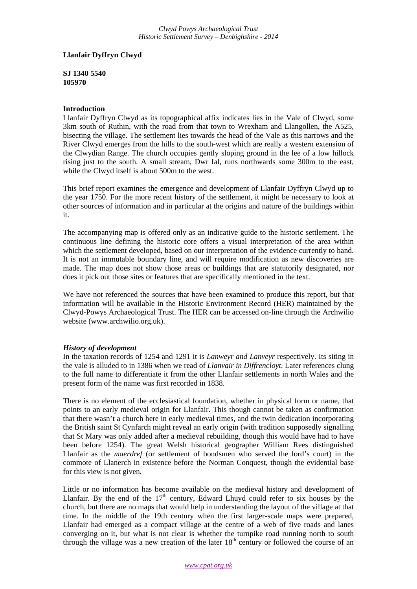## **Llanfair Dyffryn Clwyd**

**SJ 1340 5540 105970**

## **Introduction**

Llanfair Dyffryn Clwyd as its topographical affix indicates lies in the Vale of Clwyd, some 3km south of Ruthin, with the road from that town to Wrexham and Llangollen, the A525, bisecting the village. The settlement lies towards the head of the Vale as this narrows and the River Clwyd emerges from the hills to the south-west which are really a western extension of the Clwydian Range. The church occupies gently sloping ground in the lee of a low hillock rising just to the south. A small stream, Dwr Ial, runs northwards some 300m to the east, while the Clwyd itself is about 500m to the west.

This brief report examines the emergence and development of Llanfair Dyffryn Clwyd up to the year 1750. For the more recent history of the settlement, it might be necessary to look at other sources of information and in particular at the origins and nature of the buildings within it.

The accompanying map is offered only as an indicative guide to the historic settlement. The continuous line defining the historic core offers a visual interpretation of the area within which the settlement developed, based on our interpretation of the evidence currently to hand. It is not an immutable boundary line, and will require modification as new discoveries are made. The map does not show those areas or buildings that are statutorily designated, nor does it pick out those sites or features that are specifically mentioned in the text.

We have not referenced the sources that have been examined to produce this report, but that information will be available in the Historic Environment Record (HER) maintained by the Clwyd-Powys Archaeological Trust. The HER can be accessed on-line through the Archwilio website (www.archwilio.org.uk).

## *History of development*

In the taxation records of 1254 and 1291 it is *Lanweyr and Lanveyr* respectively. Its siting in the vale is alluded to in 1386 when we read of *Llanvair in Diffrencloyt*. Later references clung to the full name to differentiate it from the other Llanfair settlements in north Wales and the present form of the name was first recorded in 1838.

There is no element of the ecclesiastical foundation, whether in physical form or name, that points to an early medieval origin for Llanfair. This though cannot be taken as confirmation that there wasn't a church here in early medieval times, and the twin dedication incorporating the British saint St Cynfarch might reveal an early origin (with tradition supposedly signalling that St Mary was only added after a medieval rebuilding, though this would have had to have been before 1254). The great Welsh historical geographer William Rees distinguished Llanfair as the *maerdref* (or settlement of bondsmen who served the lord's court) in the commote of Llanerch in existence before the Norman Conquest, though the evidential base for this view is not given.

Little or no information has become available on the medieval history and development of Llanfair. By the end of the  $17<sup>th</sup>$  century, Edward Lhuyd could refer to six houses by the church, but there are no maps that would help in understanding the layout of the village at that time. In the middle of the 19th century when the first larger-scale maps were prepared, Llanfair had emerged as a compact village at the centre of a web of five roads and lanes converging on it, but what is not clear is whether the turnpike road running north to south through the village was a new creation of the later  $18<sup>th</sup>$  century or followed the course of an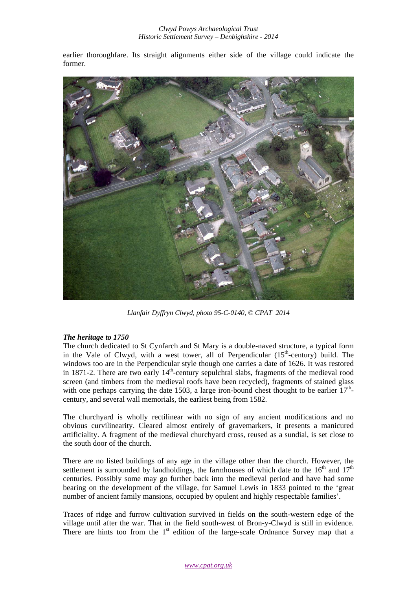earlier thoroughfare. Its straight alignments either side of the village could indicate the former.



*Llanfair Dyffryn Clwyd, photo 95-C-0140, © CPAT 2014* 

## *The heritage to 1750*

The church dedicated to St Cynfarch and St Mary is a double-naved structure, a typical form in the Vale of Clwyd, with a west tower, all of Perpendicular  $(15<sup>th</sup>-century)$  build. The windows too are in the Perpendicular style though one carries a date of 1626. It was restored in 1871-2. There are two early  $14<sup>th</sup>$ -century sepulchral slabs, fragments of the medieval rood screen (and timbers from the medieval roofs have been recycled), fragments of stained glass with one perhaps carrying the date 1503, a large iron-bound chest thought to be earlier  $17<sup>th</sup>$ century, and several wall memorials, the earliest being from 1582.

The churchyard is wholly rectilinear with no sign of any ancient modifications and no obvious curvilinearity. Cleared almost entirely of gravemarkers, it presents a manicured artificiality. A fragment of the medieval churchyard cross, reused as a sundial, is set close to the south door of the church.

There are no listed buildings of any age in the village other than the church. However, the settlement is surrounded by landholdings, the farmhouses of which date to the  $16<sup>th</sup>$  and  $17<sup>th</sup>$ centuries. Possibly some may go further back into the medieval period and have had some bearing on the development of the village, for Samuel Lewis in 1833 pointed to the 'great number of ancient family mansions, occupied by opulent and highly respectable families'.

Traces of ridge and furrow cultivation survived in fields on the south-western edge of the village until after the war. That in the field south-west of Bron-y-Clwyd is still in evidence. There are hints too from the  $1<sup>st</sup>$  edition of the large-scale Ordnance Survey map that a